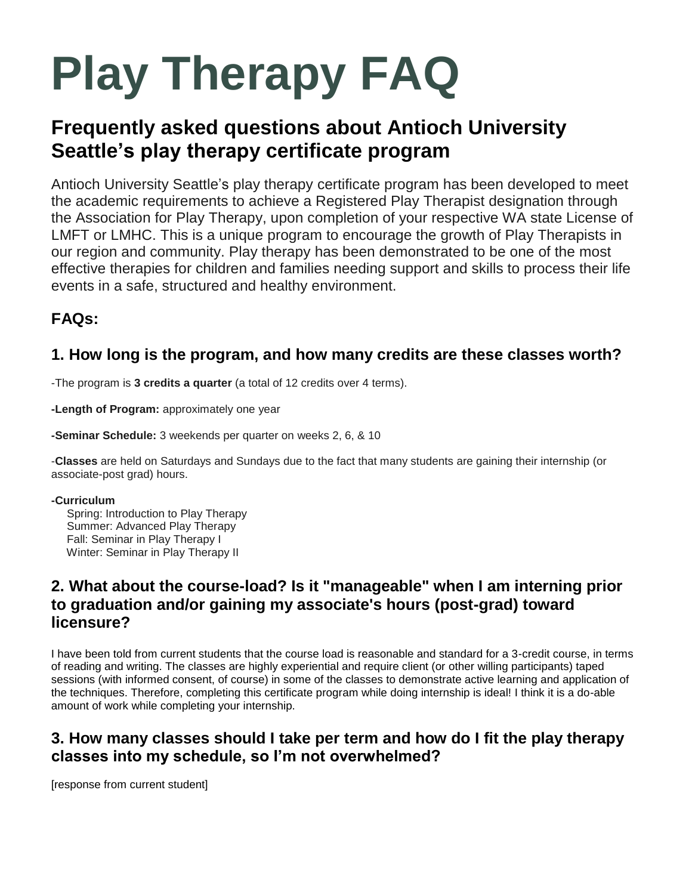# **Play Therapy FAQ**

## **Frequently asked questions about Antioch University Seattle's play therapy certificate program**

Antioch University Seattle's play therapy certificate program has been developed to meet the academic requirements to achieve a Registered Play Therapist designation through the Association for Play Therapy, upon completion of your respective WA state License of LMFT or LMHC. This is a unique program to encourage the growth of Play Therapists in our region and community. Play therapy has been demonstrated to be one of the most effective therapies for children and families needing support and skills to process their life events in a safe, structured and healthy environment.

## **FAQs:**

#### **1. How long is the program, and how many credits are these classes worth?**

-The program is **3 credits a quarter** (a total of 12 credits over 4 terms).

**-Length of Program:** approximately one year

**-Seminar Schedule:** 3 weekends per quarter on weeks 2, 6, & 10

-**Classes** are held on Saturdays and Sundays due to the fact that many students are gaining their internship (or associate-post grad) hours.

#### **-Curriculum**

 Spring: Introduction to Play Therapy Summer: Advanced Play Therapy Fall: Seminar in Play Therapy I Winter: Seminar in Play Therapy II

#### **2. What about the course-load? Is it "manageable" when I am interning prior to graduation and/or gaining my associate's hours (post-grad) toward licensure?**

I have been told from current students that the course load is reasonable and standard for a 3-credit course, in terms of reading and writing. The classes are highly experiential and require client (or other willing participants) taped sessions (with informed consent, of course) in some of the classes to demonstrate active learning and application of the techniques. Therefore, completing this certificate program while doing internship is ideal! I think it is a do-able amount of work while completing your internship.

### **3. How many classes should I take per term and how do I fit the play therapy classes into my schedule, so I'm not overwhelmed?**

[response from current student]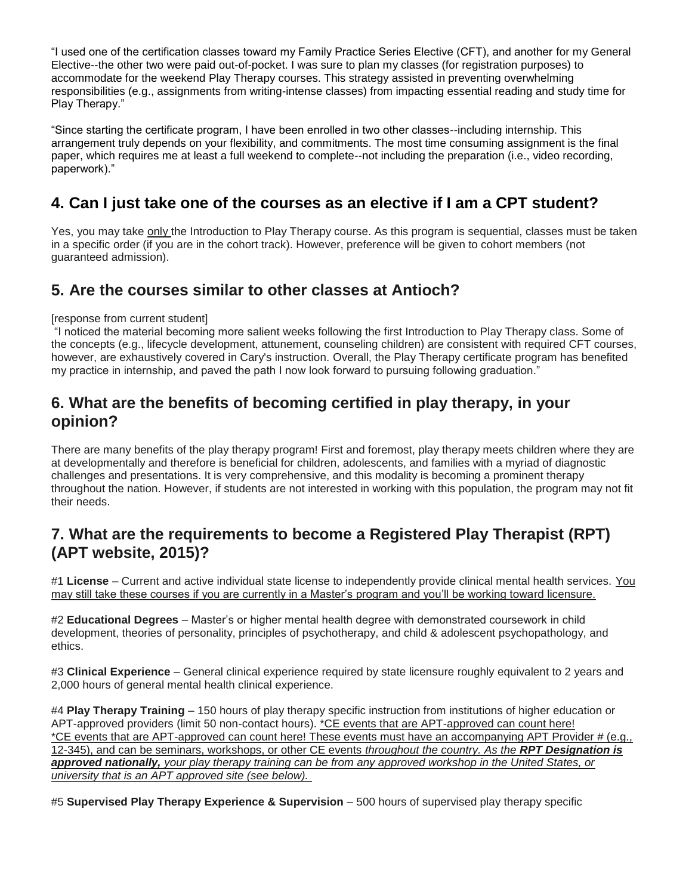"I used one of the certification classes toward my Family Practice Series Elective (CFT), and another for my General Elective--the other two were paid out-of-pocket. I was sure to plan my classes (for registration purposes) to accommodate for the weekend Play Therapy courses. This strategy assisted in preventing overwhelming responsibilities (e.g., assignments from writing-intense classes) from impacting essential reading and study time for Play Therapy."

"Since starting the certificate program, I have been enrolled in two other classes--including internship. This arrangement truly depends on your flexibility, and commitments. The most time consuming assignment is the final paper, which requires me at least a full weekend to complete--not including the preparation (i.e., video recording, paperwork)."

#### **4. Can I just take one of the courses as an elective if I am a CPT student?**

Yes, you may take only the Introduction to Play Therapy course. As this program is sequential, classes must be taken in a specific order (if you are in the cohort track). However, preference will be given to cohort members (not guaranteed admission).

#### **5. Are the courses similar to other classes at Antioch?**

#### [response from current student]

"I noticed the material becoming more salient weeks following the first Introduction to Play Therapy class. Some of the concepts (e.g., lifecycle development, attunement, counseling children) are consistent with required CFT courses, however, are exhaustively covered in Cary's instruction. Overall, the Play Therapy certificate program has benefited my practice in internship, and paved the path I now look forward to pursuing following graduation."

#### **6. What are the benefits of becoming certified in play therapy, in your opinion?**

There are many benefits of the play therapy program! First and foremost, play therapy meets children where they are at developmentally and therefore is beneficial for children, adolescents, and families with a myriad of diagnostic challenges and presentations. It is very comprehensive, and this modality is becoming a prominent therapy throughout the nation. However, if students are not interested in working with this population, the program may not fit their needs.

#### **7. What are the requirements to become a Registered Play Therapist (RPT) (APT website, 2015)?**

#1 **License** – Current and active individual state license to independently provide clinical mental health services. You may still take these courses if you are currently in a Master's program and you'll be working toward licensure.

#2 **Educational Degrees** – Master's or higher mental health degree with demonstrated coursework in child development, theories of personality, principles of psychotherapy, and child & adolescent psychopathology, and ethics.

#3 **Clinical Experience** – General clinical experience required by state licensure roughly equivalent to 2 years and 2,000 hours of general mental health clinical experience.

#4 **Play Therapy Training** – 150 hours of play therapy specific instruction from institutions of higher education or APT-approved providers (limit 50 non-contact hours). \*CE events that are APT-approved can count here! \*CE events that are APT-approved can count here! These events must have an accompanying APT Provider # (e.g., 12-345), and can be seminars, workshops, or other CE events *throughout the country. As the RPT Designation is approved nationally, your play therapy training can be from any approved workshop in the United States, or university that is an APT approved site (see below).*

#5 **Supervised Play Therapy Experience & Supervision** – 500 hours of supervised play therapy specific